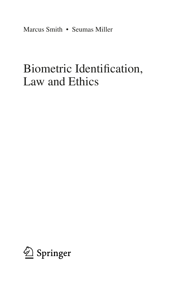Marcus Smith • Seumas Miller

# Biometric Identifcation, Law and Ethics

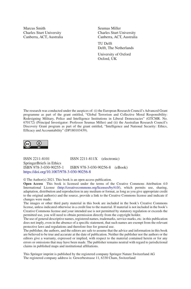Marcus Smith Charles Sturt University Canberra, ACT, Australia Seumas Miller Charles Sturt University Canberra, ACT, Australia

TU Delft Delft, The Netherlands

University of Oxford Oxford, UK

The research was conducted under the auspices of: (i) the European Research Council's Advanced Grant programme as part of the grant entitled, "Global Terrorism and Collective Moral Responsibility: Redesigning Military, Police and Intelligence Institutions in Liberal Democracies" (GTCMR. No. 670172) (Principal Investigator: Professor Seumas Miller) and (ii) the Australian Research Council's Discovery Grant program as part of the grant entitled, "Intelligence and National Security: Ethics, Effcacy and Accountability" (DP180103439).



ISSN 2211-8101 ISSN 2211-811X (electronic) SpringerBriefs in Ethics ISBN 978-3-030-90255-1 ISBN 978-3-030-90256-8 (eBook) <https://doi.org/10.1007/978-3-030-90256-8>

© The Author(s) 2021 . This book is an open access publication.

**Open Access** This book is licensed under the terms of the Creative Commons Attribution 4.0 International License ([http://creativecommons.org/licenses/by/4.0/\)](http://creativecommons.org/licenses/by/4.0/), which permits use, sharing, adaptation, distribution and reproduction in any medium or format, as long as you give appropriate credit to the original author(s) and the source, provide a link to the Creative Commons license and indicate if changes were made.

The images or other third party material in this book are included in the book's Creative Commons license, unless indicated otherwise in a credit line to the material. If material is not included in the book's Creative Commons license and your intended use is not permitted by statutory regulation or exceeds the permitted use, you will need to obtain permission directly from the copyright holder.

The use of general descriptive names, registered names, trademarks, service marks, etc. in this publication does not imply, even in the absence of a specifc statement, that such names are exempt from the relevant protective laws and regulations and therefore free for general use.

The publisher, the authors, and the editors are safe to assume that the advice and information in this book are believed to be true and accurate at the date of publication. Neither the publisher nor the authors or the editors give a warranty, expressed or implied, with respect to the material contained herein or for any errors or omissions that may have been made. The publisher remains neutral with regard to jurisdictional claims in published maps and institutional affliations.

This Springer imprint is published by the registered company Springer Nature Switzerland AG The registered company address is: Gewerbestrasse 11, 6330 Cham, Switzerland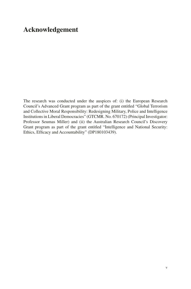## **Acknowledgement**

The research was conducted under the auspices of: (i) the European Research Council's Advanced Grant program as part of the grant entitled "Global Terrorism and Collective Moral Responsibility: Redesigning Military, Police and Intelligence Institutions in Liberal Democracies" (GTCMR. No. 670172) (Principal Investigator: Professor Seumas Miller) and (ii) the Australian Research Council's Discovery Grant program as part of the grant entitled "Intelligence and National Security: Ethics, Efficacy and Accountability" (DP180103439).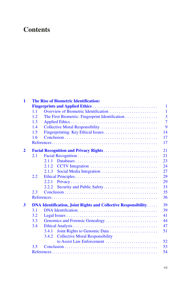## **Contents**

| $\mathbf{1}$   | <b>The Rise of Biometric Identification:</b> |                                                                       |                |
|----------------|----------------------------------------------|-----------------------------------------------------------------------|----------------|
|                |                                              |                                                                       | 1              |
|                | 1.1                                          | Overview of Biometric Identification                                  | 1              |
|                | 1.2                                          | The First Biometric: Fingerprint Identification                       | $\overline{3}$ |
|                | 1.3                                          |                                                                       | $\overline{7}$ |
|                | 1.4                                          | Collective Moral Responsibility                                       | 9              |
|                | 1.5                                          |                                                                       | 14             |
|                | 1.6                                          |                                                                       | 17             |
|                |                                              |                                                                       | 17             |
| $\overline{2}$ |                                              | Facial Recognition and Privacy Rights                                 | 21             |
|                | 2.1                                          |                                                                       | 21             |
|                |                                              | 2.1.1                                                                 | 23             |
|                |                                              | CCTV Integration<br>2.1.2                                             | 24             |
|                |                                              | 2.1.3                                                                 | 27             |
|                | 2.2                                          |                                                                       | 29             |
|                |                                              | 2.2.1                                                                 | 29             |
|                |                                              | Security and Public Safety<br>2.2.2                                   | 33             |
|                | 2.3                                          |                                                                       | 35             |
|                |                                              |                                                                       | 36             |
| 3              |                                              | <b>DNA Identification, Joint Rights and Collective Responsibility</b> | 39             |
|                | 3.1                                          |                                                                       | 39             |
|                | 3.2                                          |                                                                       | 41             |
|                | 3.3                                          |                                                                       | 44             |
|                | 3.4                                          |                                                                       | 47             |
|                |                                              | 3.4.1                                                                 | 51             |
|                |                                              | 3.4.2 Collective Moral Responsibility                                 |                |
|                |                                              | to Assist Law Enforcement                                             | 52             |
|                | 3.5                                          |                                                                       | 53             |
|                |                                              |                                                                       | 54             |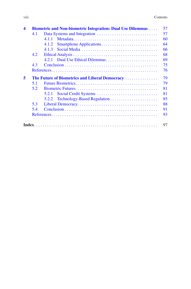| $\blacktriangle$ |     | <b>Biometric and Non-biometric Integration: Dual Use Dilemmas </b>                                           | 57 |
|------------------|-----|--------------------------------------------------------------------------------------------------------------|----|
|                  | 4.1 |                                                                                                              | 57 |
|                  |     | 4.1.1                                                                                                        | 60 |
|                  |     | 4.1.2                                                                                                        | 64 |
|                  |     | 4.1.3                                                                                                        | 66 |
|                  | 4.2 |                                                                                                              | 68 |
|                  |     | Dual Use Ethical Dilemmas<br>4.2.1                                                                           | 69 |
|                  | 4.3 |                                                                                                              | 75 |
|                  |     |                                                                                                              | 76 |
| 5                |     | The Future of Biometrics and Liberal Democracy                                                               | 79 |
|                  | 5.1 |                                                                                                              | 79 |
|                  | 5.2 |                                                                                                              | 81 |
|                  |     | 5.2.1                                                                                                        | 81 |
|                  |     | Technology-Based Regulation<br>5.2.2                                                                         | 85 |
|                  | 5.3 |                                                                                                              | 88 |
|                  | 5.4 | $Conclusion \dots \dots \dots \dots \dots \dots \dots \dots \dots \dots \dots \dots \dots \dots \dots \dots$ | 91 |
|                  |     |                                                                                                              | 93 |
|                  |     |                                                                                                              |    |
|                  |     |                                                                                                              | 97 |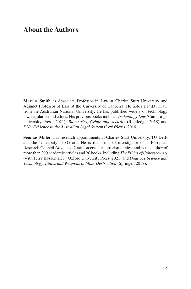### **About the Authors**

**Marcus Smith** is Associate Professor in Law at Charles Sturt University and Adjunct Professor of Law at the University of Canberra. He holds a PhD in law from the Australian National University. He has published widely on technology law, regulation and ethics. His previous books include: *Technology Law* (Cambridge University Press, 2021), *Biometrics, Crime and Security* (Routledge, 2018) and *DNA Evidence in the Australian Legal System* (LexisNexis, 2016).

**Seumas Miller** has research appointments at Charles Sturt University, TU Delft and the University of Oxford. He is the principal investigator on a European Research Council Advanced Grant on counter-terrorism ethics, and is the author of more than 200 academic articles and 20 books, including *The Ethics of Cybersecurity* (with Terry Bossomaier) (Oxford University Press, 2021) and *Dual Use Science and Technology, Ethics and Weapons of Mass Destruction* (Springer, 2018).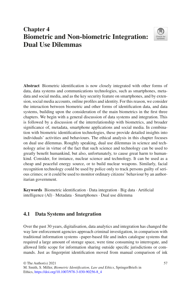## **Chapter 4 Biometric and Non-biometric Integration: Dual Use Dilemmas**



**Abstract** Biometric identifcation is now closely integrated with other forms of data, data systems and communications technologies, such as smartphones, metadata and social media, and as the key security feature on smartphones, and by extension, social media accounts, online profles and identity. For this reason, we consider the interaction between biometric and other forms of identifcation data, and data systems, building upon the consideration of the main biometrics in the frst three chapters. We begin with a general discussion of data systems and integration. This is followed by a discussion of the interrelationship with biometrics, and broader signifcance of, metadata, smartphone applications and social media. In combination with biometric identifcation technologies, these provide detailed insights into individuals' activities and behaviours. The ethical analysis in this chapter focuses on dual use dilemmas. Roughly speaking, dual use dilemmas in science and technology arise in virtue of the fact that such science and technology can be used to greatly beneft humankind, but also, unfortunately, to cause great harm to humankind. Consider, for instance, nuclear science and technology. It can be used as a cheap and peaceful energy source, or to build nuclear weapons. Similarly, facial recognition technology could be used by police only to track persons guilty of serious crimes; or it could be used to monitor ordinary citizens' behaviour by an authoritarian government.

**Keywords** Biometric identifcation · Data integration · Big data · Artifcial intelligence (AI) · Metadata · Smartphones · Dual use dilemma

#### **4.1 Data Systems and Integration**

Over the past 30 years, digitalisation, data analytics and integration has changed the way law enforcement agencies approach criminal investigation, in comparison with traditional information systems –paper-based fle and index catalogue systems that required a large amount of storage space, were time consuming to interrogate, and allowed little scope for information sharing outside specifc jurisdictions or commands. Just as fngerprint identifcation moved from manual comparison of ink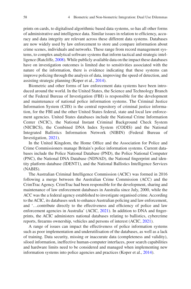prints on cards, to digitalised algorithmic based data systems, so has all other forms of administrative and intelligence data. Similar issues in relation to effciency, accuracy and data integrity are relevant across these different data systems. Databases are now widely used by law enforcement to store and compare information about crime scenes, individuals and networks. These range from record management systems, to complex analytical software systems that inform tactical and strategic intelligence (Ratcliffe, [2008\)](#page-26-0). While publicly available data on the impact these databases have on investigation outcomes is limited due to sensitivities associated with the nature of the information, there is evidence indicating that these systems can improve policing through the analysis of data, improving the speed of detection, and assisting strategic planning (Koper et al., [2014](#page-26-1)).

Biometric and other forms of law enforcement data systems have been introduced around the world. In the United States, the Science and Technology Branch of the Federal Bureau of Investigation (FBI) is responsible for the development and maintenance of national police information systems. The Criminal Justice Information System (CJIS) is the central repository of criminal justice information, for the FBI and the other United States federal, state and local law enforcement agencies. United States databases include the National Crime Information Center (NCIC), the National Instant Criminal Background Check System (NICBCS), the Combined DNA Index System (CODIS) and the National Integrated Ballistics Information Network (NIBIN) (Federal Bureau of Investigation, [2021](#page-25-0)).

In the United Kingdom, the Home Office and the Association for Police and Crime Commissioners manage Britain's police information systems. Current databases include the Police National Database (PND), the Police National Computer (PNC), the National DNA Database (NDNAD), the National fngerprint and identity platform database (IDENT1), and the National Ballistics Intelligence Services (NABIS).

The Australian Criminal Intelligence Commission (ACIC) was formed in 2016 following a merge between the Australian Crime Commission (ACC) and the CrimTrac Agency. CrimTrac had been responsible for the development, sharing and maintenance of law enforcement databases in Australia since July, 2000, while the ACC was the a federal agency established to investigate organised crime. According to the ACIC, its databases seek to enhance Australian policing and law enforcement, and '…contribute directly to the effectiveness and effciency of police and law enforcement agencies in Australia' (ACIC, [2021](#page-25-1)). In addition to DNA and fingerprints, the ACIC administers national databases relating to ballistics, cybercrime reports, frearms ownership, vehicles and persons of interest (ACIC, [2021](#page-25-1)).

A range of issues can impact the effectiveness of police information systems such as poor implementation and underutilisation of the databases, as well as a lack of training. Data security, missing or inaccurate data (completeness and validity), siloed information, ineffective human-computer interfaces, poor search capabilities and hardware limits need to be considered and managed when implementing new information systems into police agencies and practices (Koper et al., [2014\)](#page-26-1).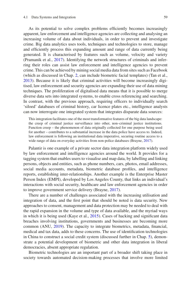As its potential to solve complex problems efficiently becomes increasingly apparent, law enforcement and intelligence agencies are collecting and analysing an increasing volume of data about individuals, in order to prevent and investigate crime. Big data analytics uses tools, techniques and technologies to store, manage and effciently process this expanding amount and range of data currently being generated. It is characterised by features such as volume, velocity and variety (Pramanik et al., [2017](#page-26-2)). Identifying the network structures of criminals and inferring their roles can assist law enforcement and intelligence agencies to prevent crime. This can be achieved by mining social media data from sites such as Facebook (which as discussed in Chap. [2](https://doi.org/10.1007/978-3-030-90256-8_2), can include biometric facial templates) (Tan et al., [2013\)](#page-27-0). Because it is likely that criminal activities will become increasingly digitised, law enforcement and security agencies are expanding their use of data mining techniques. The proliferation of digitalised data means that it is possible to merge diverse data sets into integrated systems, to enable cross referencing and searching. In contrast, with the previous approach, requiring officers to individually search 'siloed' databases of criminal history, car licence plates etc., intelligence analysts can now interrogate one integrated system that integrates disparate data sources:

This integration facilitates one of the most transformative features of the big data landscape: the creep of criminal justice surveillance into other, non–criminal justice institutions. Function creep – the phenomenon of data originally collected for one purpose being used for another – contributes to a substantial increase in the data police have access to. Indeed, law enforcement is following an institutional data imperative, securing routine access to a wide range of data on everyday activities from non-police databases (Brayne, [2017\)](#page-25-2).

Palantir is one example of a private sector data integration platform widely used by law enforcement and intelligence agencies around the world. It provides for a tagging system that enables users to visualise and map data, by labelling and linking persons, objects and entities, such as phone numbers, cars, photos, email addresses, social media accounts, metadata, biometric database profles, and intelligence reports, establishing inter-relationships. Another example is the Enterprise Master Person Index (EMPI), developed by Los Angeles County, that links an individual's interactions with social security, healthcare and law enforcement agencies in order to improve government service delivery (Brayne, [2017\)](#page-25-2).

There are a number of challenges associated with the increasing utilisation and integration of data, and the frst point that should be noted is data security. New approaches to consent, management and data protection may be needed to deal with the rapid expansion in the volume and type of data available, and the myriad ways in which it is being used (Kaye et al., [2015](#page-25-3)). Cases of hacking and signifcant data breaches involving institutions, governments and businesses are becoming more common (ANU, [2019](#page-25-4)). The capacity to integrate biometrics, metadata, fnancial, medical and tax data, adds to these concerns. The use of identifcation technologies in China to construct a social credit system (discussed further in Chap. [5](https://doi.org/10.1007/978-3-030-90256-8_5)), demonstrate a potential development of biometric and other data integration in liberal democracies, absent appropriate regulation.

Biometric technologies are an important part of a broader shift taking place in society towards automated decision-making processes that involve more limited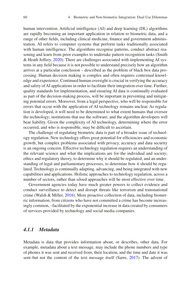human intervention. Artificial intelligence (AI) and deep learning (DL) algorithms are rapidly becoming an important application in relation to biometric data, and a range of other felds, including clinical medicine, fnance and government administration. AI refers to computer systems that perform tasks traditionally associated with human intelligence. The algorithms recognise patterns, conduct abstract reasoning and learn from prior examples to undertake pattern recognition tasks (Smith & Heath Jeffery, [2020](#page-27-1)). There are challenges associated with implementing AI systems in any feld because it is not possible to understand precisely how an algorithm arrives at a particular conclusion – described as the problem of black box data processing. Human decision making is complex and often requires contextual knowledge and experience. Continued human oversight is crucial in verifying the accuracy and safety of AI applications in order to facilitate their integration over time. Further, quality standards for implementation, and ensuring AI data is continually evaluated as part of the decision-making process, will be important in preventing and mitigating potential errors. Moreover, from a legal perspective, who will be responsible for errors that occur with the application of AI technology remains unclear. As regulation is developed, it will need to be determined to what extent humans that oversee the technology; institutions that use the software; and the algorithm developers will bear liability. Given the complexity of AI technology, determining where the error occurred, and who is responsible, may be diffcult to ascertain.

The challenge of regulating biometric data is part of a broader issue of technology regulation. New technology offers great potential for effciencies and economic growth, but complex problems associated with privacy, accuracy and data security is an ongoing concern. Effective technology regulation requires an understanding of the relevant science and what the implications are for the individual and society; ethics and regulatory theory, to determine why it should be regulated; and an understanding of legal and parliamentary processes, to determine how it should be regulated. Technology is continually adapting, advancing, and being integrated with new capabilities and applications. Holistic approaches to technology regulation, across a number of sectors, rather than siloed approaches will be most effective over time.

Government agencies today have much greater powers to collect evidence and conduct surveillance to detect and disrupt threats like terrorism and transnational crime (Walsh & Miller, [2016\)](#page-27-2). More proactive collection of data, including biometric information, from citizens who have not committed a crime has become increasingly common, –facilitated by the exponential increase in data created by consumers of services provided by technology and social media companies.

#### *4.1.1 Metadata*

Metadata is data that provides information about, or describes, other data. For example, metadata about a text message, may include the phone numbers and type of phones it was sent and received from, their location, and the time and date it was sent–but not the content of the text message itself (Sarre, [2017\)](#page-26-3). The advent of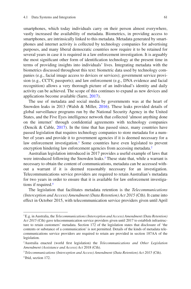smartphones, which today individuals carry on their person almost everywhere, vastly increased the availability of metadata. Biometrics, in providing access to smartphones, are intrinsically linked to this metadata. Metadata generated by smartphones and internet activity is collected by technology companies for advertising purposes, and many liberal democratic countries now require it to be retained for several years in case it is required in a law enforcement investigation. It is arguably the most signifcant other form of identifcation technology at the present time in terms of providing insights into individuals' lives. Integrating metadata with the biometrics discussed throughout this text: biometric data used by technology companies (e.g., facial image access to devices or services); government service provision (e.g., CCTV, passports); and law enforcement (e.g., DNA evidence and facial recognition) allows a very thorough picture of an individual's identity and daily activity can be achieved. The scope of this continues to expand as new devices and applications become available (Sarre, [2017\)](#page-26-3).

The use of metadata and social media by governments was at the heart of Snowden leaks in 2013 (Walsh & Miller, [2016](#page-27-2)). These leaks provided details of global surveillance programs run by the National Security Agency in the United States, and the Five Eyes intelligence network that collected 'almost anything done on the internet' through confdential agreements with technology companies (Dencik & Cable, [2017](#page-25-5)). In the time that has passed since, many countries have passed legislation that requires technology companies to store metadata for a number of years and provide it to government agencies if it is deemed necessary for a law enforcement investigation.<sup>1</sup> Some countries have even legislated to prevent encryption hindering law enforcement agencies from accessing metadata.<sup>[2](#page-10-1)</sup>

Australian legislation introduced in 2017 provides a useful example of laws that were introduced following the Snowden leaks.<sup>3</sup> These state that, while a warrant is necessary to obtain the content of communications, metadata can be accessed without a warrant if it is deemed reasonably necessary for an investigation. Telecommunications service providers are required to retain Australian's metadata for two years in order to ensure that it is available for law enforcement investigations if required[.4](#page-10-3)

The legislation that facilitates metadata retention is the *Telecommunications (Interception and Access) Amendment (Data Retention) Act 2015* (Cth). It came into effect in October 2015, with telecommunication service providers given until April

<span id="page-10-0"></span><sup>1</sup>E.g. in Australia, the *Telecommunications (Interception and Access) Amendment (Data Retention) Act 2015* (Cth) gave telecommunication service providers given until 2017 to establish infrastructure to retain customers' metadata. Section 172 of the legislation states that disclosure of 'the contents or substance of a communication' is not permitted. Details of the kinds of metadata telecommunications service providers are required to retain are provided in section 187AA of the legislation.

<span id="page-10-1"></span><sup>2</sup>Australia enacted (world frst legislation) the *Telecommunications and Other Legislation Amendment (Assistance and Access) Act* 2018 (Cth).

<span id="page-10-3"></span><span id="page-10-2"></span><sup>3</sup>*Telecommunications (Interception and Access) Amendment (Data Retention) Act 2015* (Cth). <sup>4</sup> Ibid, section 172.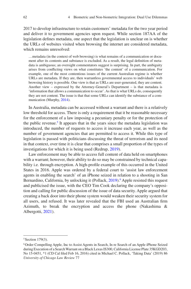2017 to develop infrastructure to retain customers' metadata for the two year period and deliver it to government agencies upon request. While section 187AA of the legislation defnes metadata, one aspect that the legislation is unclear on is whether the URLs of websites visited when browsing the internet are considered metadata, which remains unresolved:

…metadata (in the context of web browsing) is what remains of a communication or document after its contents and substance is excluded. As a result, the legal defnition of metadata is ambiguous; an oversight commentators suggest is surprising. In part, the ambiguity arises from conficting views on what constitutes 'the content' of a communication. For example, one of the most contentious issues of the current Australian regime is whether URLs are metadata. If they are, then warrantless governmental access to individuals' web browsing history is possible. One view is that as URLs are user-generated, they are content. Another view – expressed by the Attorney-General's Department – is that metadata is 'information that allows a communication to occur'. As that is what URLs do, consequently they are not content. The issue is that that some URLs can identify the substance of a communication (Murphy, [2014](#page-26-4)).

In Australia, metadata can be accessed without a warrant and there is a relatively low threshold for access. There is only a requirement that it be reasonable necessary for the enforcement of a law imposing a pecuniary penalty or for the protection of the public revenue.<sup>[5](#page-11-0)</sup> It appears that in the years since the metadata legislation was introduced, the number of requests to access it increase each year, as well as the number of government agencies that are permitted to access it. While this type of legislation is passed with politicians discussing the threat of terrorism and its need in that context, over time it is clear that comprises a small proportion of the types of investigations for which it is being used (Redrup, [2019\)](#page-26-5).

Law enforcement may be able to access full content of data held on smartphones with a warrant; however, their ability to do so may be constrained by technical capability i.e. through encryption. A high-profle example of this occurred in the United States in 2016. Apple was ordered by a federal court to 'assist law enforcement agents in enabling the search' of an iPhone seized in relation to a shooting in San Bernardino, California, by unlocking it (Pollack, [2019\)](#page-26-6).<sup>6</sup> Apple resisted this request and publicised the issue, with the CEO Tim Cook declaring the company's opposition and calling for public discussion of the issue of data security. Apple argued that creating a back door into their phone system would weaken their security system for all users, and refused. It was later revealed that the FBI used an Australian frm Azimuth, to break the encryption and access the phone (Nakashima  $\&$ Albergotti, [2021\)](#page-26-7).

<span id="page-11-0"></span><sup>&</sup>lt;sup>5</sup> Section 179(3).

<span id="page-11-1"></span><sup>6</sup>Order Compelling Apple, Inc to Assist Agents in Search, In re Search of an Apple iPhone Seized during Execution of a Search Warrant on a Black Lexus IS300, California License Plate 35KGD203, No 15-0451, \*1 (CD Cal fled Feb 16, 2016) cited in Michael C. Pollack, 'Taking Data' (2019) 86 *University of Chicago Law Review* 77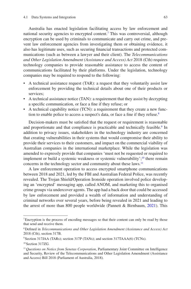Australia has enacted legislation facilitating access by law enforcement and national security agencies to encrypted content.<sup>7</sup> This was controversial, although encryption can be used by criminals to communicate and carry out crime, and prevent law enforcement agencies from investigating them or obtaining evidence, it also has legitimate uses, such as securing fnancial transactions and protected communications (such as between a lawyer and their client). The *Telecommunications and Other Legislation Amendment (Assistance and Access) Act* 2018 (Cth) requires technology companies to provide reasonable assistance to access the content of communications facilitated by their platforms. Under the legislation, technology companies may be required to respond to the following:

- A technical assistance request (TAR): a request that they voluntarily assist law enforcement by providing the technical details about one of their products or services;
- A technical assistance notice (TAN): a requirement that they assist by decrypting a specifc communication, or face a fne if they refuse; or
- A technical capability notice (TCN): a requirement that they create a new func-tion to enable police to access a suspect's data, or face a fine if they refuse.<sup>[8](#page-12-1)</sup>

Decision-makers must be satisfed that the request or requirement is reasonable and proportionate and that compliance is practicable and technically feasible.<sup>[9](#page-12-2)</sup> In addition to privacy issues, stakeholders in the technology industry are concerned that creating vulnerabilities in their systems that would compromise their ability to provide their services to their customers, and impact on the commercial viability of Australian companies in the international marketplace. While the legislation was amended to expressly provide that companies 'must not be requested or required to implement or build a systemic weakness or systemic vulnerability';<sup>10</sup> there remain concerns in the technology sector and community about these laws.<sup>[11](#page-12-4)</sup>

A law enforcement operation to access encrypted smartphone communications between 2018 and 2021, led by the FBI and Australian Federal Police, was recently revealed. The Trojan Shield/Operation Ironside operation involved police developing an 'encrypted' messaging app, called ANOM, and marketing this to organised crime groups via undercover agents. The app had a back door that could be accessed by law enforcement and provided a wealth of information and understanding of criminal networks over several years, before being revealed in 2021 and leading to the arrest of more than 800 people worldwide (Pannett & Birnbaum, [2021\)](#page-26-8). This

<span id="page-12-0"></span><sup>&</sup>lt;sup>7</sup>Encryption is the process of encoding messages so that their content can only be read by those that send and receive them.

<span id="page-12-1"></span><sup>8</sup>Defned in *Telecommunications and Other Legislation Amendment (Assistance and Access) Act* 2018 (Cth), section 317B.

<span id="page-12-2"></span><sup>9</sup>Section 317JAA (TARs); section 317P (TANs); and section 317TAAA(6) (TCNs).

<span id="page-12-3"></span><sup>&</sup>lt;sup>10</sup> Section 317ZG.

<span id="page-12-4"></span><sup>11</sup>*Questions on Notice from Senetas Corporation*, Parliamentary Joint Committee on Intelligence and Security, Review of the Telecommunications and Other Legislation Amendment (Assistance and Access) Bill 2018 (Parliament of Australia, 2018).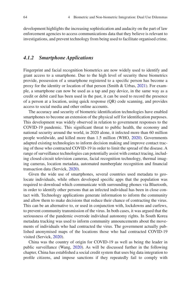development highlights the increasing sophistication and audacity on the part of law enforcement agencies to access communications data that they believe is relevant to investigations, and prevent technology from being used to facilitate organised crime.

#### *4.1.2 Smartphone Applications*

Fingerprint and facial recognition biometrics are now widely used to identify and grant access to a smartphone. Due to the high level of security these biometrics provide, possession of a smartphone registered to a specifc person has become a proxy for the identity or location of that person (Smith & Urbas, [2021\)](#page-27-3). For example, a smartphone can now be used as a tap and pay device, in the same way as a credit or debit card has been used in the past, it can be used to record the presence of a person at a location, using quick response (QR) code scanning, and provides access to social media and other online accounts.

The accuracy and security of biometric identifcation technologies have enabled smartphones to become an extension of the physical self for identifcation purposes. This development was widely observed in relation to government responses to the COVID-19 pandemic. This signifcant threat to public health, the economy and national security around the world, in 2020 alone, it infected more than 60 million people worldwide, and killed more than 1.5 million (WHO, [2020\)](#page-27-4). Governments adapted existing technologies to inform decision making and improve contact tracing of those who contracted COVID-19 in order to limit the spread of the disease. A range of surveillance technologies can potentially assist with contact tracing, including closed-circuit television cameras, facial recognition technology, thermal imaging cameras, location metadata, automated numberplate recognition and fnancial transaction data (Servick, [2020](#page-26-9)).

Given the wide use of smartphones, several countries used metadata to geolocate individuals, while others developed specifc apps that the population was required to download which communicate with surrounding phones via Bluetooth, in order to identify other persons that an infected individual has been in close contact with. Technology applications generate information to inform the community and allow them to make decisions that reduce their chance of contracting the virus. This can be an alternative to, or used in conjunction with, lockdowns and curfews, to prevent community transmission of the virus. In both cases, it was argued that the seriousness of the pandemic overrode individual autonomy rights. In South Korea metadata tracking was used to inform community announcements about the movements of individuals who had contracted the virus. The government actually published anonymised maps of the locations those who had contracted COVID-19 visited (Servick, [2020\)](#page-26-9).

China was the country of origin for COVID-19 as well as being the leader in public surveillance (Wang, [2020\)](#page-27-5). As will be discussed further in the following chapter, China has established a social credit system that uses big data integration to profle citizens, and impose sanctions if they repeatedly fail to comply with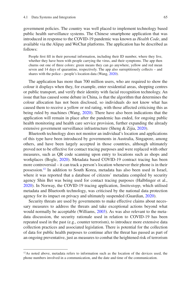government policies. The country was well placed to implement technology based public health surveillance systems. The Chinese smartphone application that was introduced in response to the COVID-19 pandemic was known as *Health Code*, and available via the Alipay and WeChat platforms. The application has be described as follows:

People frst fll in their personal information, including their ID number, where they live, whether they have been with people carrying the virus, and their symptoms. The app then churns out one of three colors: green means they can go anywhere, yellow and red mean seven and 14 days of quarantine, respectively. The app also surreptitiously collects – and shares with the police – people's location data (Wang, [2020](#page-27-5)).

The application has more than 700 million users, who are required to show the colour it displays when they, for example, enter residential areas, shopping centres or public transport, and verify their identity with facial recognition technology. An issue that has caused some debate in China, is that the algorithm that determines the colour allocation has not been disclosed, so individuals do not know what has caused them to receive a yellow or red rating, with those affected criticising this as being ruled by machines (Wang, [2020](#page-27-5)). There have also been indications that the application will remain in place after the pandemic has ended, for ongoing public health monitoring and health care service provision, further expanding the already extensive government surveillance infrastructure (Sheng & Zijia, [2020\)](#page-27-6).

Bluetooth technology does not monitor an individual's location and applications of this type have been introduced by governments in Australia, Singapore, among others, and have been largely accepted in those countries, although ultimately proved not to be effective for contact tracing purposes and were replaced with other measures, such as QR code scanning upon entry to locations such as shops and workplaces (Bogle, [2020\)](#page-25-6). Metadata based COVID-19 contract tracing has been more controversial – it can track a person's location whenever their phone is in their possession[.12](#page-14-0) In addition to South Korea, metadata has also been used in Israel, where it was reported that a database of citizens' metadata compiled by security agency Shin Bet was being used for contact tracing purposes (Halbfnger et al., [2020\)](#page-25-7). In Norway, the COVID-19 tracing application, *Smittestopp*, which utilised metadata and Bluetooth technology, was criticised by the national data protection agency for its impact on privacy and ultimately suspended (Guardian, [2020](#page-27-7)).

Security threats are used by governments to make effective claims about necessary measures to address the threats and take exceptional actions beyond what would normally be acceptable (Williams, [2003\)](#page-27-8). As was also relevant to the metadata discussion, the security rationale used in relation to COVID-19 has been repeated used in the past (e.g., counter terrorism), to introduce more extensive data collection practices and associated legislation. There is potential for the collection of data for public health purposes to continue after the threat has passed as part of an ongoing preventative, just as measures to combat the heightened risk of terrorism

<span id="page-14-0"></span> $12$ As noted above, metadata refers to information such as the location of the devices used, the phone numbers involved in a communication, and the date and time of the communication.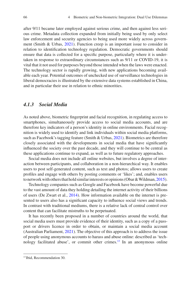after 9/11 became later employed against serious crime, and then against less serious crime. Metadata collection expanded from initially being used by only select law enforcement and security agencies to being used more widely across government (Smith & Urbas, [2021](#page-27-3)). Function creep is an important issue to consider in relation to identifcation technology regulation. Democratic governments should ensure that data is collected for a specifc purpose, particularly where it is undertaken in response to extraordinary circumstances such as 9/11 or COVID-19, it is vital that it not used for purposes beyond those intended when the laws were enacted. The technology sector is rapidly growing, with new applications becoming available each year. Potential outcomes of unchecked use of surveillance technologies in liberal democracies is illustrated by the extensive data systems established in China, and in particular their use in relation to ethnic minorities.

#### *4.1.3 Social Media*

As noted above, biometric fngerprint and facial recognition, in regulating access to smartphones, simultaneously provide access to social media accounts, and are therefore key indicators of a person's identity in online environments. Facial recognition is widely used to identify and link individuals within social media platforms, such as Facebook's tagging feature (Smith & Urbas, [2021](#page-27-3)). Biometrics are therefore closely associated with the developments in social media that have signifcantly infuenced the society over the past decade, and they will continue to be central as these applications continue to expand, as well as to future regulatory approaches.

Social media does not include all online websites, but involves a degree of interaction between participants, and collaboration in a non-hierarchical way. It enables users to post self-generated content, such as text and photos; allows users to create profles and engage with others by posting comments or 'likes'; and, enables users to network with others that hold similar interests or opinions (Obar & Wildman, [2015\)](#page-26-10).

Technology companies such as Google and Facebook have become powerful due to the vast amount of data they holding detailing the internet activity of their billions of users (De Zwart et al., [2014\)](#page-25-8). How information available on the internet is presented to users also has a signifcant capacity to infuence social views and trends. In contrast with traditional mediums, there is a relative lack of central control over content that can facilitate mistruths to be perpetuated.

It has recently been proposed in a number of countries around the world, that social media users must provide evidence of their identity, such as a copy of a passport or drivers licence in order to obtain, or maintain a social media account (Australian Parliament, [2021](#page-25-9)). The objective of this approach is to address the issue of people using anonymous accounts to harass and abuse online: described as 'technology facilitated abuse', or commit other crimes.[13](#page-15-0) In an anonymous online

<span id="page-15-0"></span><sup>13</sup> Ibid, Recommendation 30.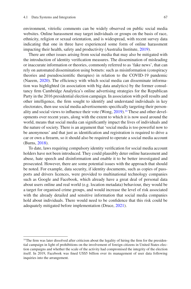environment, vitriolic comments can be widely observed on public social media websites. Online harassment may target individuals or groups on the basis of race, ethnicity, religion or sexual orientation, and is widespread, with recent survey data indicating that one in three have experienced some form of online harassment impacting their health, safety and productivity (Australia Institute, [2019](#page-25-10)).

There are other issues arising from social media that may also be mitigated with the introduction of identity verifcation measures. The dissemination of misleading or inaccurate information or theories, commonly referred to as 'fake news', that can rely on automated dissemination using botnets: such as misinformation (conspiracy theories and pseudoscientifc therapies) in relation to the COVID-19 pandemic (Naeem, [2020](#page-26-11)). The efficiency with which social media can disseminate information was highlighted (in association with big data analytics) by the former consultancy frm Cambridge Analytica's online advertising strategies for the Republican Party in the 2016 presidential election campaign. In association with poll results and other intelligence, the frm sought to identify and understand individuals in key electorates, then use social media advertisements specifcally targeting their person-ality and social views to influence their vote (Wong, [2019\)](#page-27-9).<sup>14</sup> These and other developments over recent years, along with the extent to which it is now used around the world, means that social media can signifcantly impact the lives of individuals and the nature of society. There is an argument that 'social media is too powerful now to be anonymous' and that just as identifcation and registration is required to drive a car or own a frearm, so it should also be required to operate a social media account (Burns, [2018](#page-25-11)).

To date, laws requiring compulsory identity verifcation for social media account holders have not been introduced. They could plausibly deter online harassment and abuse, hate speech and disinformation and enable it to be better investigated and prosecuted. However, there are some potential issues with the approach that should be noted. For example, data security, if identity documents, such as copies of passports and drivers licences, were provided to multinational technology companies such as Google and Facebook, which already have a great deal of personal data about users online and real world (e.g. location metadata) behaviour, they would be a target for organised crime groups, and would increase the level of risk associated with the already detailed and sensitive information that social media companies hold about individuals. There would need to be confdence that this risk could be adequately mitigated before implementation (Druce, [2021\)](#page-25-12).

<span id="page-16-0"></span><sup>&</sup>lt;sup>14</sup>The firm was later dissolved after criticism about the legality of hiring the firm for the presidential campaign in light of prohibitions on the involvement of foreign citizens in United States election campaigns and whether the scale of the activity had compromised the integrity of the election itself. In 2019, Facebook was fned US\$5 billion over its management of user data following inquiries into the arrangement.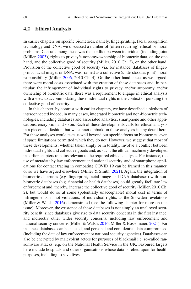#### **4.2 Ethical Analysis**

In earlier chapters on specifc biometrics, namely, fngerprinting, facial recognition technology and DNA, we discussed a number of (often recurring) ethical or moral problems. Central among these was the confict between individual (including joint (Miller, [2003\)](#page-26-12)) rights to privacy/autonomy/ownership of biometric data, on the one hand, and the collective good of security (Miller, 2010 Ch. 2), on the other hand. Provision of the collective good of security via, for instance, databases of fngerprints, facial images or DNA, was framed as a collective (understood as joint) moral responsibility (Miller, [2006](#page-26-13), 2010 Ch. 4). On the other hand since, as we argued, there were moral costs associated with the creation of these databases and, in particular, the infringement of individual rights to privacy and/or autonomy and/or ownership of biometric data, there was a requirement to engage in ethical analysis with a view to accommodating these individual rights in the context of pursuing the collective good of security.

In this chapter, by contrast with earlier chapters, we have described a plethora of interconnected indeed, in many cases, integrated biometric and non-biometric technologies, including databases and associated analytics, smartphone and other applications, encryption and so on. Each of these developments calls for ethical analysis in a piecemeal fashion, but we cannot embark on these analyses in any detail here. For these analyses would take us well beyond our specifc focus on biometrics, even if space limitations permitted which they do not. However, we suggest that most of these developments, whether taken singly or in totality, involve a confict between individual rights and collective goods and, as such, the ethical machinery developed in earlier chapters remains relevant to the required ethical analyses. For instance, the use of metadata by law enforcement and national security, and of smartphone applications for contact tracing in combating COVID 19 can be framed in this manner, or so we have argued elsewhere (Miller & Smith, [2021\)](#page-26-14). Again, the integration of biometric databases (e.g. fngerprint, facial image and DNA databases) with nonbiometric databases (e.g. fnancial or health databases) could greatly facilitate law enforcement and, thereby, increase the collective good of security (Miller, 2010 Ch. 2), but would do so at some (potentially unacceptable) moral cost in terms of infringements, if not violations, of individual rights, as the Snowden revelations (Miller & Walsh, [2016\)](#page-26-15) demonstrated (see the following chapter for more on this issue). Moreover, the existence of these databases is not simply an unalloyed security beneft, since databases give rise to data security concerns in the frst instance, and indirectly other wider security concerns, including law enforcement and national security concerns (Miller & Walsh, [2016;](#page-26-15) Miller & Bossomaier, [2021\)](#page-26-16). For instance, databases can be hacked, and personal and confdential data compromised (including the data of law enforcement or national security agencies). Databases can also be encrypted by malevolent actors for purposes of blackmail i.e. so-called ransomware attacks, e.g. on the National Health Service in the UK. Favoured targets here include hospitals and other organisations whose data is relied upon for health purposes, including to save lives.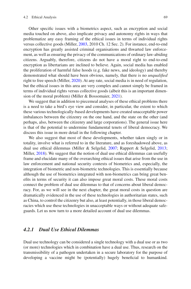Other specifc issues with a biometrics aspect, such as encryption and social media touched on above, also implicate privacy and autonomy rights in ways that problematize any easy framing of the ethical issues in terms of individual rights versus collective goods (Miller, [2003,](#page-26-12) 2010 Ch. 12 Sec. 2). For instance, end-to-end encryption has greatly assisted criminal organisations and thwarted law enforcement, as well as ensuring the privacy of the communications of ordinary law-abiding citizens. Arguably, therefore, citizens do not have a moral right to end-to-end encryption as libertarians are inclined to believe. Again, social media has enabled the proliferation of harmful false hoods (e.g. fake news, and ideology) and thereby demonstrated what should have been obvious, namely, that there is no *unqualifed* right to free speech (Miller, [2020\)](#page-26-17). At any rate, social media is in need of regulation, but the ethical issues in this area are very complex and cannot simply be framed in terms of individual rights versus collective goods (albeit this is an important dimension of the moral problem) (Miller & Bossomaier, [2021](#page-26-16)).

We suggest that in addition to piecemeal analyses of these ethical problems there is a need to take a bird's eye view and consider, in particular, the extent to which these various technologically-based developments have created unacceptable power imbalances between the citizenry on the one hand, and the state on the other (and perhaps, also, between the citizenry and large corporations). The general issue here is that of the potential to undermine fundamental tenets of liberal democracy. We discuss this issue in more detail in the following chapter.

We also suggest that most of these developments, whether taken singly or in totality, involve what is referred to in the literature, and as foreshadowed above, as dual use ethical dilemmas (Miller & Selgelid, [2007](#page-26-18); Rappert & Selgelid, [2013;](#page-26-19) Miller, [2018](#page-26-20)). We suggest that the notion of dual use ethical dilemmas can usefully frame and elucidate many of the overarching ethical issues that arise from the use in law enforcement and national security contexts of biometrics and, especially, the integration of biometric and non-biometric technologies. This is essentially because although the use of biometrics integrated with non-biometrics can bring great benefts in terms of security it can also impose great moral costs. These moral costs connect the problem of dual use dilemmas to that of concerns about liberal democracy. For, as we will see in the next chapter, the great moral costs in question are dramatically evidenced in the use of these technologies in authoritarian states, such as China, to control the citizenry but also, at least potentially, in those liberal democracies which use these technologies in unacceptable ways or without adequate safeguards. Let us now turn to a more detailed account of dual use dilemmas.

#### *4.2.1 Dual Use Ethical Dilemmas*

Dual use technology can be considered a single technology with a dual use or as two (or more) technologies which in combination have a dual use. Thus, research on the transmissibility of a pathogen undertaken in a secure laboratory for the purpose of developing a vaccine might be (potentially) hugely beneficial to humankind.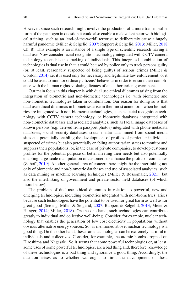However, since such research might involve the production of a more transmissible form of the pathogen in question it could also enable a malevolent actor with biological training, such as an 'end-of-the-world' terrorist, to deliberately cause a hugely harmful pandemic (Miller & Selgelid, [2007;](#page-26-18) Rappert & Selgelid, [2013](#page-26-19); Miller, [2018](#page-26-20) Ch. 8). This example is an instance of a single type of scientifc research having a dual use. Now consider facial recognition technology integrated with CCTV camera technology to enable the tracking of individuals. This integrated combination of technologies is dual use in that it could be used by police only to track persons guilty (or, at least, reasonably suspected of being guilty) of serious crimes (Miller & Gordon, [2014\)](#page-26-21) i.e. it is used only for necessary and legitimate law enforcement; or it could be used to monitor ordinary citizens' behaviour in order to ensure their compliance with the human rights-violating dictates of an authoritarian government.

Our main focus in this chapter is with dual use ethical dilemmas arising from the integration of biometric and non-biometric technologies i.e. with biometric and non-biometric technologies taken in combination. Our reason for doing so is that dual use ethical dilemmas in biometrics arise in their most acute form when biometrics are integrated with non-biometric technologies, such as facial recognition technology with CCTV camera technology, or biometric databases integrated with non-biometric databases and associated analytics, such as facial image databases of known persons (e.g. derived from passport photos) integrated with phone metadata databases, social security databases, social media data mined from social media sites etc. potentially enabling the development of profles of particular individuals suspected of crimes but also potentially enabling authoritarian states to monitor and suppress their populations; or, in the case of private companies, to develop customer profles for the potential purpose of better meeting their needs but also potentially enabling large-scale manipulation of customers to enhance the profts of companies (Zuboff, [2019\)](#page-27-10). Another general area of concern here might be the interlinking not only of biometric and non-biometric databases and use of associated analytics, such as data mining or machine learning techniques (Miller  $&$  Bossomaier, [2021\)](#page-26-16), but also the interlinking of government and private sector held databases (of which more below).

The problem of dual-use ethical dilemmas in relation to powerful, new and emerging technologies, including biometrics integrated with non-biometrics, arises because such technologies have the potential to be used for great harm as well as for great good (See e.g. Miller & Selgelid, [2007](#page-26-18); Rappert & Selgelid, [2013;](#page-26-19) Meier & Hunger, [2014;](#page-26-22) Miller, [2018\)](#page-26-20). On the one hand, such technologies can contribute greatly to individual and collective well-being. Consider, for example, nuclear technology that enables the generation of low cost electricity in populations without obvious alternative energy sources. So, as mentioned above, nuclear technology is a good thing. On the other hand, these same technologies can be extremely harmful to individuals and collectives. Consider, for example, the atomic bombs dropped on Hiroshima and Nagasaki. So it seems that some powerful technologies or, at least, some uses of some powerful technologies, are a bad thing and, therefore, knowledge of these technologies is a bad thing and ignorance a good thing. Accordingly, the question arises as to whether we ought to limit the development of these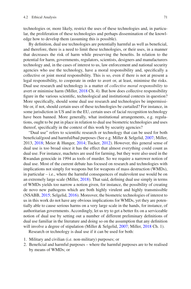technologies or, more likely, restrict the uses of these technologies and, in particular, the proliferation of these technologies and perhaps dissemination of the knowledge how to develop them (assuming this is possible).

By defnition, dual use technologies are potentially harmful as well as benefcial, and therefore, there is a need to limit these technologies, or their uses, in a manner that decreases the risk of harm while preserving the benefts. In relation to the potential for harm, governments, regulators, scientists, designers and manufacturers technology and, in the cases of interest to us, law enforcement and national security agencies who use the technology, have a moral responsibility and, specifcally a collective or joint moral responsibility. This is so, even if there is not at present a legal responsibility, to cooperate in order to avert or, at least, minimise the risks. Dual use research and technology is a matter of *collective moral responsibility* to avert or minimise harm (Miller, [2018](#page-26-20) Ch. 4). But how does collective responsibility fgure in the various scientifc, technological and institutional contexts in question? More specifcally, should some dual use research and technologies be impermissible or, if not, should certain uses of these technologies be curtailed? For instance, in some jurisdiction in US and in the EU, certain uses of facial recognition technology have been banned. More generally, what institutional arrangements, e.g. regulations, ought to be put in place in relation to dual use biometric technologies and uses thereof, specifcally in the context of this work by security agencies?

"Dual use" refers to scientifc research or technology that can be used for both benefcial/good and harmful/bad purposes (See e.g. Miller & Selgelid, [2007;](#page-26-18) Miller, 2013, [2018](#page-26-20); Meier & Hunger, [2014](#page-26-22); Tucker, [2012](#page-27-11)). However, this general sense of dual use is too broad since it has the effect that almost everything could count as dual use. For instance, machetes are used for farming, but they were also used in the Rwandan genocide in 1994 as tools of murder. So we require a narrower notion of dual use. Most of the current debate has focused on research and technologies with implications not simply for weapons but for weapons of mass destruction (WMDs), in particular – i.e., where the harmful consequences of malevolent use would be on an extremely large scale (Miller, [2018\)](#page-26-20). That said, defning dual use simply in terms of WMDs yields too narrow a notion given, for instance, the possibility of creating de novo new pathogens which are both highly virulent and highly transmissible (NSABB, [2015](#page-26-23); Selgelid, [2016](#page-26-24)). Moreover, the biometric technologies of interest to us in this work do not have any obvious implications for WMDs, yet they are potentially able to cause serious harms on a very large scale in the hands, for instance, of authoritarian governments. Accordingly, let us try to get a better fx on a serviceable notion of dual use by setting out a number of different preliminary defnitions of dual use familiar in the literature and doing so on the assumption that any defnition will involve a degree of stipulation (Miller & Selgelid, [2007](#page-26-18); Miller, [2018](#page-26-20) Ch. 1).

Research or technology is dual use if it can be used for both:

- 1. Military and civilian (i.e. non-military) purposes; or
- 2. Benefcial and harmful purposes where the harmful purposes are to be realised by means of WMDs; or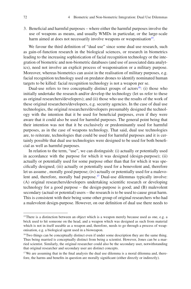3. Benefcial and harmful purposes – where either the harmful purposes involve the use of weapons as means, and usually WMDs in particular, or the large-scale harm aimed at does not necessarily involve weapons or weaponisation<sup>15</sup>.

We favour the third definition of "dual use" since some dual use research, such as gain-of-function research in the biological sciences, or research in biometrics leading to the increasing sophistication of facial recognition technology or the integration of biometric and non-biometric databases (and use of associated data analytics), need not involve an explicit process of weaponisation or a military purpose. Moreover, whereas biometrics can assist in the realisation of military purposes, e.g. facial recognition technology used on predator drones to identify nominated human targets to be killed: facial recognition technology is not a weapon per se.

Dual-use refers to two conceptually distinct groups of actors<sup>16</sup>: (i) those who initially undertake the research and/or develop the technology (let us refer to these as original researchers/developers); and (ii) those who use the results of the work of these original researchers/developers, e.g. security agencies. In the case of dual use technologies, the original researchers/developers presumably designed the technology with the intention that it be used for benefcial purposes, even if they were aware that it could also be used for harmful purposes. The general point being that their intention was not that it be exclusively or predominantly used for harmful purposes, as in the case of weapons technology. That said, dual use technologies are, to reiterate, technologies that could be used for harmful purposes and it is certainly possible that dual use technologies were designed to be used for both benefcial as well as harmful purposes.

In relation to the term, "use", we can distinguish: (i) actually or potentially used in accordance with the purpose for which it was designed (design-purpose); (ii) actually or potentially used for some purpose other than that for which it was specifcally designed; (iii) actually or potentially used for a benevolent and, therefore let us assume , morally good purpose; (iv) actually or potentially used for a malevolent and, therefore, morally bad purpose.<sup>17</sup> Dual-use dilemmas typically involve: (A) original researchers/developers undertaking scientifc research or developing technology for a good purpose – the design-purpose is good; and (B) malevolent secondary (actual or potential) users – the research is to be used to cause great harm. This is consistent with their being some other group of original researchers who had a malevolent design-purpose. However, on our defnition of dual use there needs to

<span id="page-21-0"></span><sup>&</sup>lt;sup>15</sup>There is a distinction between an object which is a weapon merely because used as one, e.g. a brick used to hit someone on the head, and a weapon which was designed as such from material which is not in itself useable as a weapon and, therefore, needs to go through a process of weaponisation, e.g. a biological agent used in a bioweapon.

<span id="page-21-1"></span><sup>&</sup>lt;sup>16</sup>Two things can be conceptually distinct even if under some description they are the same thing. Thus being married is conceptually distinct from being a scientist. However, Jones can be a married scientist. Similarly, the original researcher could also be the secondary user, notwithstanding that original researcher and secondary user are distinct concepts.

<span id="page-21-2"></span><sup>&</sup>lt;sup>17</sup>We are assuming that in the final analysis the dual use dilemma is a moral dilemma and, therefore, the harms and benefts in question are morally signifcant (either directly or indirectly).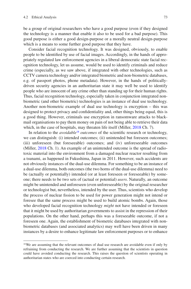be a group of original researchers who have a good purpose (even if they designed the technology is a manner that enable it also to be used for a bad purpose). This good purpose is either a good design-purpose or a morally neutral design-purpose which is a means to some further good purpose that they have.

Consider facial recognition technology. It was designed, obviously, to enable people to be identifed by use of facial images. Accordingly, in the hands of appropriately regulated law enforcement agencies in a liberal democratic state facial recognition technology, let us assume, would be used to identify criminals and reduce crime (especially, as we saw above, if integrated with other technologies, such as CCTV camera technology and/or integrated biometric and non-biometric databases, e.g. of passport photos, phone metadata). However, in the hands of politicallydriven security agencies in an authoritarian state it may well be used to identify people who are innocent of any crime other than standing up for their human rights. Thus, facial recognition technology, especially taken in conjunction integrated nonbiometric (and other biometric) technologies is an instance of dual use technology. Another non-biometric example of dual use technology is encryption – this was designed to protect privacy and confdentiality and, other things being equal, this is a good thing. However, criminals use encryption in ransomware attacks to blackmail organisations to pay them money on pain of not being able to retrieve their data which, in the case of hospitals, may threaten life itself (Miller, [2018](#page-26-20) Ch. 7).

In relation to the *avoidable*[18](#page-22-0) *outcomes* of the scientifc research or technology, we can distinguish: (i) intended outcomes; (ii) unintended but foreseen outcomes; (iii) unforeseen (but foreseeable) outcomes; and (iv) unforeseeable outcomes (Miller, [2018](#page-26-20) Ch. 1). An example of an unintended outcome is the spread of radiotoxic material into the environment from a damaged nuclear reactor resulting from a tsunami, as happened in Fukushima, Japan in 2011. However, such accidents are not obviously instances of the dual-use dilemma. For something to be an instance of a dual-use dilemma, both outcomes (the two horns of the dual-use dilemma) need to be (actually or potentially) intended (or at least foreseen or foreseeable) by someone; there needs to be two sets of (actual or potential) *users*. Naturally, an outcome might be unintended and unforeseen (even unforeseeable) by the original researcher or technologist but, nevertheless, intended by the user. Thus, scientists who develop the process of nuclear fssion to be used for power generation might not intend or foresee that the same process might be used to build atomic bombs. Again, those who developed facial recognition technology *might* not have intended or foreseen that it might be used by authoritarian governments to assist in the repression of their populations. On the other hand, perhaps this was a foreseeable outcome, if not a foreseen one. Again, the establishment of biometric databases integrated with nonbiometric databases (and associated analytics) may well have been driven in many instances by a desire to enhance legitimate law enforcement purposes or to enhance

<span id="page-22-0"></span><sup>&</sup>lt;sup>18</sup>We are assuming that the relevant outcomes of dual use research are avoidable even if only by refraining from conducting the research. We are further assuming that the scientists in question could have avoided conducting the research. This raises the question of scientists operating in authoritarian states who are coerced into conducting certain research.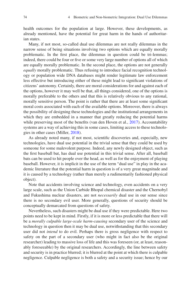health outcomes for the population at large. However, these developments, as already mentioned, have the potential for great harm in the hands of authoritarian states.

Many, if not most, so-called dual use dilemmas are not really dilemmas in the narrow sense of being situations involving two options which are equally morally problematic. In the frst place, the dilemmas in question could be tri-lemmas; indeed, there could be four or fve or some very large number of options all of which are equally morally problematic. In the second place, the options are not generally *equally* morally problematic. Thus refusing to introduce facial recognition technology or population wide DNA databases might render legitimate law enforcement less effective but introducing either of these might lead to signifcant violations of citizens' autonomy. Certainly, there are moral considerations for and against each of the options, however it may well be that, all things considered, one of the options is morally preferable to the others and that this is relatively obvious to any rational, morally sensitive person. The point is rather that there are at least some signifcant moral costs associated with each of the available options. Moreover, there is always the possibility of designing these technologies and the institutional arrangements in which they are embedded in a manner that greatly reducing the potential harms while preserving most of the benefits (van den Hoven et al., [2017\)](#page-27-12). Accountability systems are a way of achieving this in some cases, limiting access to these technologies in other cases (Miller, [2018](#page-26-20)).

As already noted many, if not most, scientifc discoveries and, especially, new technologies, have dual use potential in the trivial sense that they could be used by someone for some malevolent purpose. Indeed, any newly designed object, such as the frst baseball bat, has dual use potential in this trivial sense. After all, baseball bats can be used to hit people over the head, as well as for the enjoyment of playing baseball. However, it is implicit in the use of the term "dual use" in play in the academic literature that the potential harm in question is of a very great magnitude and it is caused by a technology (rather than merely a rudimentarily fashioned physical object).

Note that accidents involving science and technology, even accidents on a very large scale, such as the Union Carbide Bhopal chemical disaster and the Chernobyl and Fukushima nuclear disasters, are not *necessarily* dual use in our sense since there is no secondary evil user. More generally, questions of security should be conceptually demarcated from questions of safety.

Nevertheless, such disasters might be dual use if they were predictable. Here two points need to be kept in mind. Firstly, if it is more or less predictable that there will be a *morally culpable large-scale harm-causing* secondary user of the science and technology in question then it may be dual use, notwithstanding that this secondary user did not *intend* to do evil. Perhaps there is gross negligence with respect to safety on the part of a secondary user (who might in fact also be the original researcher) leading to massive loss of life and this was foreseen (or, at least, reasonably foreseeable) by the original researchers. Accordingly, the line between safety and security is in practice blurred; it is blurred at the point at which there is culpable negligence. Culpable negligence is both a safety and a security issue; hence by our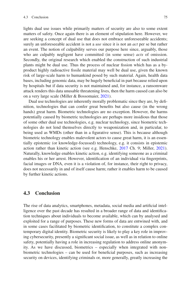lights dual use issues while primarily matters of security are also to some extent matters of safety. Once again there is an element of stipulation here. However, we are seeking a concept of dual use that does not embrace unforeseeable accidents; surely an unforeseeable accident is not a *use* since it is not an *act* per se but rather an event. The notion of culpability serves our purpose here since, arguably, those who are culpably negligent have committed (in some sense) *acts* of omission. Secondly, the original research which enabled the construction of such industrial plants might be dual use. Thus the process of nuclear fssion which has as a byproduct highly radioactive fssile material may well be dual use, given the known risk of large-scale harm to humankind posed by such material. Again, health data bases, including genomic data, may be hugely benefcial in part because relied upon by hospitals but if data security is not maintained and, for instance, a ransomware attack renders this data unusable threatening lives, then the harm caused can also be on a very large scale (Miller & Bossomaier, [2021](#page-26-16)).

Dual use technologies are inherently morally problematic since they are, by definition, technologies that can confer great benefts but also cause (in the wrong hands) great harm. Biometric technologies are no exception. However, the harms potentially caused by biometric technologies are perhaps more insidious that those of some other dual use technologies, e.g. nuclear technology, since biometric technologies do not lend themselves directly to weaponization and, in particular, to being used as WMDs (other than in a fgurative sense). This is because although biometric technology enables malevolent actors to cause great harm, it is an essentially epistemic (or knowledge-focussed) technology, e.g. it consists in epistemic action rather than kinetic action (see e.g. Henschke, [2017](#page-25-13) Ch. 9; Miller, [2021\)](#page-26-25). Naturally, knowledge enables kinetic action, e.g. identifying someone as a criminal enables his or her arrest. However, identifcation of an individual via fngerprints, facial images or DNA, even it is a violation of, for instance, their right to privacy, does not necessarily in and of itself cause harm; rather it enables harm to be caused by further kinetic actions.

#### **4.3 Conclusion**

The rise of data analytics, smartphones, metadata, social media and artifcial intelligence over the past decade has resulted in a broader range of data and identifcation techniques about individuals to become available, which can by analysed and exploited for a range of purposes. These new forms of data are entwined with, and in some cases facilitated by biometric identifcation, to constitute a complex contemporary digital identity. Biometric security is likely to play a key role in improving cybersecurity, presently a signifcant social issue, as well as in relation to online safety, potentially having a role in increasing regulation to address online anonymity. As we have discussed, biometrics – especially when integrated with nonbiometric technologies – can be used for benefcial purposes, such as increasing security on devices, identifying criminals or, more generally, greatly increasing the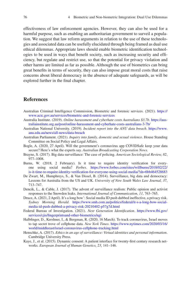effectiveness of law enforcement agencies. However, they can also be used for a harmful purpose, such as enabling an authoritarian government to surveil a population. We suggest that law reform arguments in relation to the use of these technologies and associated data can be usefully elucidated through being framed as dual use ethical dilemmas. Appropriate laws should enable biometric identifcation technologies to be used in ways that beneft society, such as increasing security and effciency, but regulate and restrict use, so that the potential for privacy violation and other harms are limited as far as possible. Although the use of biometrics can bring great benefts in terms of security, they can also impose great moral costs that raise concerns about liberal democracy in the absence of adequate safeguards, as will be explored further in the fnal chapter.

#### **References**

- <span id="page-25-1"></span>Australian Criminal Intelligence Commission, Biometric and forensic services. (2021). [https://](https://www.acic.gov.au/services/biometric-and-forensic-services) [www.acic.gov.au/services/biometric-and-forensic-services](https://www.acic.gov.au/services/biometric-and-forensic-services)
- <span id="page-25-10"></span>Australia Institute. (2019). *Online harassment and cyberhate costs Australians \$3.7b*. [https://aus](https://australiainstitute.org.au/post/online-harassment-and-cyberhate-costs-australians-3-7b/)[traliainstitute.org.au/post/online-harassment-and-cyberhate-costs-australians-3-7b/](https://australiainstitute.org.au/post/online-harassment-and-cyberhate-costs-australians-3-7b/)
- <span id="page-25-4"></span>Australian National University. (2019). *Incident report into the ANU data breach*. [https://www.](https://www.anu.edu.au/news/all-news/data-breach) [anu.edu.au/news/all-news/data-breach](https://www.anu.edu.au/news/all-news/data-breach)
- <span id="page-25-9"></span>Australian Parliament. (2021). *Inquiry into family, domestic and sexual violence*. House Standing Committee on Social Policy and Legal Affairs.
- <span id="page-25-6"></span>Bogle, A. (2020, 27 April). Will the government's coronavirus app COVIDSafe keep your data secure? Here's what the experts say. *Australian Broadcasting Corporation News.*
- <span id="page-25-2"></span>Brayne, S. (2017). Big data surveillance: The case of policing. *American Sociological Review, 82*, 977–1008.
- <span id="page-25-11"></span>Burns, W. (2018, 2 February). Is it time to require identity verifcation for everyone using social media? *Forbes*. [https://www.forbes.com/sites/willburns/2018/02/22/](https://www.forbes.com/sites/willburns/2018/02/22/is-it-time-to-require-identity-verification-for-everyone-using-social-media/?sh=6bb464528683) [is-it-time-to-require-identity-verifcation-for-everyone-using-social-media/?sh=6bb464528683](https://www.forbes.com/sites/willburns/2018/02/22/is-it-time-to-require-identity-verification-for-everyone-using-social-media/?sh=6bb464528683)
- <span id="page-25-8"></span>De Zwart, M., Humphreys, S., & Van Dissel, B. (2014). Surveillance, big data and democracy: Lessons for Australia from the US and UK. *University of New South Wales Law Journal, 37*, 713–747.
- <span id="page-25-5"></span>Dencik, L., & Cable, J. (2017). The advent of surveillance realism: Public opinion and activist responses to the Snowden leaks. *International Journal of Communication, 11*, 763–765.
- <span id="page-25-12"></span>Druce, A. (2021, 2 April). It's a long bow': Social media ID push dubbed ineffective, a privacy risk. *Sydney Morning Herald*. [https://www.smh.com.au/politics/federal/it-s-a-long-bow-social](https://www.smh.com.au/politics/federal/it-s-a-long-bow-social-media-id-push-dubbed-a-privacy-risk-20210402-p57g7d.html)[media-id-push-dubbed-a-privacy-risk-20210402-p57g7d.html](https://www.smh.com.au/politics/federal/it-s-a-long-bow-social-media-id-push-dubbed-a-privacy-risk-20210402-p57g7d.html)
- <span id="page-25-0"></span>Federal Bureau of Investigation. (2021). *Next Generation Identifcation*. [https://www.fbi.gov/](https://www.fbi.gov/services/cjis/fingerprintsand-other-biometrics/ngi) [services/cjis/fngerprintsand-other-biometrics/ngi](https://www.fbi.gov/services/cjis/fingerprintsand-other-biometrics/ngi)
- <span id="page-25-7"></span>Halbfnger, D., Kershner, I., & Bergman, R. (2020, 16 March). To track coronavirus, Israel moves to tap secret trove of cellphone data. *New York Times*. [https://www.nytimes.com/2020/03/16/](https://www.nytimes.com/2020/03/16/world/middleeast/israel-coronavirus-cellphone-tracking.html) [world/middleeast/israel-coronavirus-cellphone-tracking.html](https://www.nytimes.com/2020/03/16/world/middleeast/israel-coronavirus-cellphone-tracking.html)
- <span id="page-25-13"></span>Henschke, A. (2017). *Ethics in an age of surveillance: Virtual identities and personal information*. Cambridge University Press.
- <span id="page-25-3"></span>Kaye, J., et al. (2015). Dynamic consent: A patient interface for twenty-frst century research networks. *European Journal of Human Genetics, 23*, 141–146.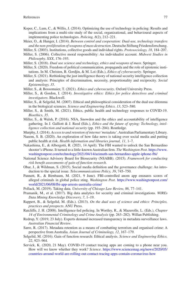- <span id="page-26-1"></span>Koper, C., Lum, C., & Willis, J. (2014). Optimizing the use of technology in policing: Results and implications from a multi-site study of the social, organizational, and behavioural aspects of implementing police technologies. *Policing, 8*(2), 212–221.
- <span id="page-26-22"></span>Meier, O., & Hunger, I. (2014). *Between control and cooperation: Dual-use, technology transfers and the non-proliferation of weapons of mass destruction*. Deutsche Stiftung Friedensforschung.
- <span id="page-26-12"></span>Miller, S. (2003). Institutions, collective goods and individual rights. *Protosociology, 18*, 184–207.
- <span id="page-26-13"></span>Miller, S. (2006). Collective moral responsibility: An individualist account. *Midwest Studies in Philosophy, XXX*, 176–193.
- <span id="page-26-20"></span>Miller, S. (2018). *Dual use science and technology, ethics and weapons of mass*. Springer.
- <span id="page-26-17"></span>Miller, S. (2020). Freedom of political communication, propaganda and the role of epistemic institutions. In M. Christen, B. Gordjin, & M. Loi (Eds.), *Ethics of cybersecurity*. Springer.
- <span id="page-26-25"></span>Miller, S. (2021). Rethinking the just intelligence theory of national security intelligence collection and analysis: Principles of discrimination, necessity, proportionality and reciprocity. *Social Epistemology, 35*.
- <span id="page-26-16"></span>Miller, S., & Bossomaier, T. (2021). *Ethics and cybersecurity*. Oxford University Press.
- <span id="page-26-21"></span>Miller, S., & Gordon, I. (2014). *Investigative ethics: Ethics for police detectives and criminal investigators*. Blackwell.
- <span id="page-26-18"></span>Miller, S., & Selgelid, M. (2007). Ethical and philosophical consideration of the dual use dilemma in the biological sciences. *Science and Engineering Ethics, 13*, 523–580.
- <span id="page-26-14"></span>Miller, S., & Smith, M. (2021). Ethics, public health and technology responses to COVID-19. *Bioethics, 35*.
- <span id="page-26-15"></span>Miller, S., & Walsh, P. (2016). NSA, Snowden and the ethics and accountability of intelligence gathering. In J. Galliott & J. Reed (Eds.), *Ethics and the future of spying: Technology, intelligence collection and national security* (pp. 193–204). Routledge.
- <span id="page-26-4"></span>Murphy, J. (2014). *Access to and retention of internet 'metadata'*. Australian Parliamentary Library.
- <span id="page-26-11"></span>Naeem, S. B. (2020). An exploration of how fake news is taking over social media and putting public health at risk. *Health information and libraries journal, 11*, 1–7.
- <span id="page-26-7"></span>Nakashima, E., & Albergotti, R. (2021, 14 April). The FBI wanted to unlock the San Bernardino shooter's iPhone. It turned to a little-known Australian frm. *The Washington Post*. [https://www.](https://www.washingtonpost.com/technology/2021/04/14/azimuth-san-bernardino-apple-iphone-fbi/) [washingtonpost.com/technology/2021/04/14/azimuth-san-bernardino-apple-iphone-fbi/](https://www.washingtonpost.com/technology/2021/04/14/azimuth-san-bernardino-apple-iphone-fbi/)
- <span id="page-26-23"></span>National Science Advisory Board for Biosecurity (NSABB). (2015). *Framework for conducting risk beneft assessments of gain-of-function research*.
- <span id="page-26-10"></span>Obar, J., & Wildman, S. (2015). Social media defnition and the governance challenge: An introduction to the special issue. *Telecommunications Policy, 39*, 745–750.
- <span id="page-26-8"></span>Pannett, R., & Birnbaum, M. (2021, 9 June). FBI-controlled anom app ensnares scores of alleged criminals in global police sting. *Washington Post*. [https://www.washingtonpost.com/](https://www.washingtonpost.com/world/2021/06/08/fbi-app-arrests-australia-crime/) [world/2021/06/08/fbi-app-arrests-australia-crime/](https://www.washingtonpost.com/world/2021/06/08/fbi-app-arrests-australia-crime/)
- <span id="page-26-6"></span>Pollack, M. (2019). Taking data. *University of Chicago Law Review, 86*, 77–141.
- <span id="page-26-2"></span>Pramanik, M., et al. (2017). Big data analytics for security and criminal investigations. *WIREs Data Mining Knowledge Discovery, 7*, 1–19.
- <span id="page-26-19"></span>Rappert, B., & Selgelid, M. (Eds.). (2013). *On the dual uses of science and ethics: Principles, practices and prospects*. ANU Press.
- <span id="page-26-0"></span>Ratcliffe, J. H. (2008). Intelligence-led policing. In Wortley, R., & Mazerolle, L. (Eds.), *Chapter 14 of Environmental Criminology and Crime Analysis* (pp. 263–282). Willan Publishing.
- <span id="page-26-5"></span>Redrup, Y. (2019, 23 July). Experts demand increased transparency in metadata surveillance laws. *Australian Financial Review*.
- <span id="page-26-3"></span>Sarre, R. (2017). Metadata retention as a means of combatting terrorism and organised crime: A perspective from Australia. *Asian Journal of Criminology, 12*, 167–179.
- <span id="page-26-24"></span>Selgelid, M. (2016). Gain of function research: Ethical analysis. *Science and Engineering Ethics, 22*, 923–964.
- <span id="page-26-9"></span>Servick, K. (2020, 21 May). COVID-19 contact tracing apps are coming to a phone near you. How will we know whether they work? *Science*. [https://www.sciencemag.org/news/2020/05/](https://www.sciencemag.org/news/2020/05/countries-around-world-are-rolling-out-contact-tracing-apps-contain-coronavirus-how) [countries-around-world-are-rolling-out-contact-tracing-apps-contain-coronavirus-how](https://www.sciencemag.org/news/2020/05/countries-around-world-are-rolling-out-contact-tracing-apps-contain-coronavirus-how)